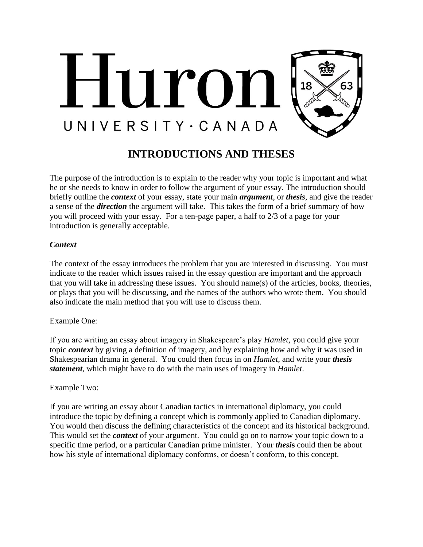

# **INTRODUCTIONS AND THESES**

The purpose of the introduction is to explain to the reader why your topic is important and what he or she needs to know in order to follow the argument of your essay. The introduction should briefly outline the *context* of your essay, state your main *argument*, or *thesis*, and give the reader a sense of the *direction* the argument will take. This takes the form of a brief summary of how you will proceed with your essay. For a ten-page paper, a half to 2/3 of a page for your introduction is generally acceptable.

## *Context*

The context of the essay introduces the problem that you are interested in discussing. You must indicate to the reader which issues raised in the essay question are important and the approach that you will take in addressing these issues. You should name(s) of the articles, books, theories, or plays that you will be discussing, and the names of the authors who wrote them. You should also indicate the main method that you will use to discuss them.

# Example One:

If you are writing an essay about imagery in Shakespeare's play *Hamlet*, you could give your topic *context* by giving a definition of imagery, and by explaining how and why it was used in Shakespearian drama in general. You could then focus in on *Hamlet*, and write your *thesis statement*, which might have to do with the main uses of imagery in *Hamlet*.

## Example Two:

If you are writing an essay about Canadian tactics in international diplomacy, you could introduce the topic by defining a concept which is commonly applied to Canadian diplomacy. You would then discuss the defining characteristics of the concept and its historical background. This would set the *context* of your argument. You could go on to narrow your topic down to a specific time period, or a particular Canadian prime minister. Your *thesi***s** could then be about how his style of international diplomacy conforms, or doesn't conform, to this concept.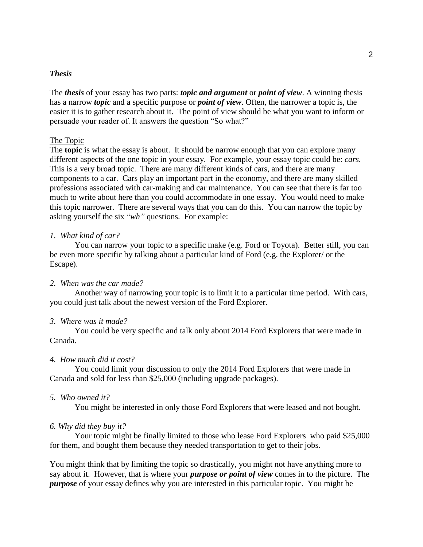## *Thesis*

The *thesis* of your essay has two parts: *topic and argument* or *point of view*. A winning thesis has a narrow *topic* and a specific purpose or *point of view*. Often, the narrower a topic is, the easier it is to gather research about it. The point of view should be what you want to inform or persuade your reader of. It answers the question "So what?"

#### The Topic

The **topic** is what the essay is about. It should be narrow enough that you can explore many different aspects of the one topic in your essay. For example, your essay topic could be: *cars.*  This is a very broad topic. There are many different kinds of cars, and there are many components to a car. Cars play an important part in the economy, and there are many skilled professions associated with car-making and car maintenance. You can see that there is far too much to write about here than you could accommodate in one essay. You would need to make this topic narrower. There are several ways that you can do this. You can narrow the topic by asking yourself the six "*wh"* questions. For example:

### *1. What kind of car?*

You can narrow your topic to a specific make (e.g. Ford or Toyota). Better still, you can be even more specific by talking about a particular kind of Ford (e.g. the Explorer/ or the Escape).

## *2. When was the car made?*

Another way of narrowing your topic is to limit it to a particular time period. With cars, you could just talk about the newest version of the Ford Explorer.

#### *3. Where was it made?*

You could be very specific and talk only about 2014 Ford Explorers that were made in Canada.

#### *4. How much did it cost?*

You could limit your discussion to only the 2014 Ford Explorers that were made in Canada and sold for less than \$25,000 (including upgrade packages).

#### *5. Who owned it?*

You might be interested in only those Ford Explorers that were leased and not bought.

#### *6. Why did they buy it?*

Your topic might be finally limited to those who lease Ford Explorers who paid \$25,000 for them, and bought them because they needed transportation to get to their jobs.

You might think that by limiting the topic so drastically, you might not have anything more to say about it. However, that is where your *purpose or point of view* comes in to the picture. The *purpose* of your essay defines why you are interested in this particular topic. You might be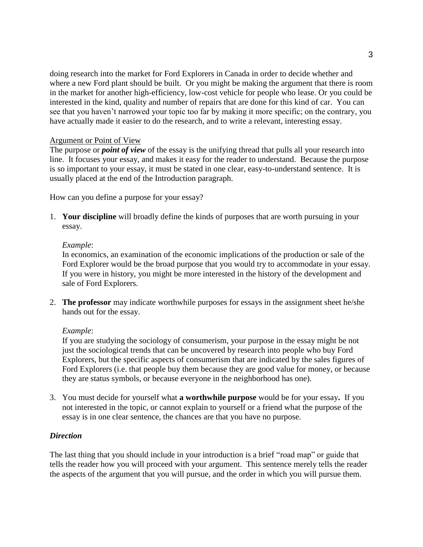doing research into the market for Ford Explorers in Canada in order to decide whether and where a new Ford plant should be built. Or you might be making the argument that there is room in the market for another high-efficiency, low-cost vehicle for people who lease. Or you could be interested in the kind, quality and number of repairs that are done for this kind of car. You can see that you haven't narrowed your topic too far by making it more specific; on the contrary, you have actually made it easier to do the research, and to write a relevant, interesting essay.

## Argument or Point of View

The purpose or *point of view* of the essay is the unifying thread that pulls all your research into line. It focuses your essay, and makes it easy for the reader to understand. Because the purpose is so important to your essay, it must be stated in one clear, easy-to-understand sentence. It is usually placed at the end of the Introduction paragraph.

How can you define a purpose for your essay?

1. **Your discipline** will broadly define the kinds of purposes that are worth pursuing in your essay.

## *Example*:

In economics, an examination of the economic implications of the production or sale of the Ford Explorer would be the broad purpose that you would try to accommodate in your essay. If you were in history, you might be more interested in the history of the development and sale of Ford Explorers.

2. **The professor** may indicate worthwhile purposes for essays in the assignment sheet he/she hands out for the essay.

# *Example*:

If you are studying the sociology of consumerism, your purpose in the essay might be not just the sociological trends that can be uncovered by research into people who buy Ford Explorers, but the specific aspects of consumerism that are indicated by the sales figures of Ford Explorers (i.e. that people buy them because they are good value for money, or because they are status symbols, or because everyone in the neighborhood has one).

3. You must decide for yourself what **a worthwhile purpose** would be for your essay**.** If you not interested in the topic, or cannot explain to yourself or a friend what the purpose of the essay is in one clear sentence, the chances are that you have no purpose.

## *Direction*

The last thing that you should include in your introduction is a brief "road map" or guide that tells the reader how you will proceed with your argument. This sentence merely tells the reader the aspects of the argument that you will pursue, and the order in which you will pursue them.